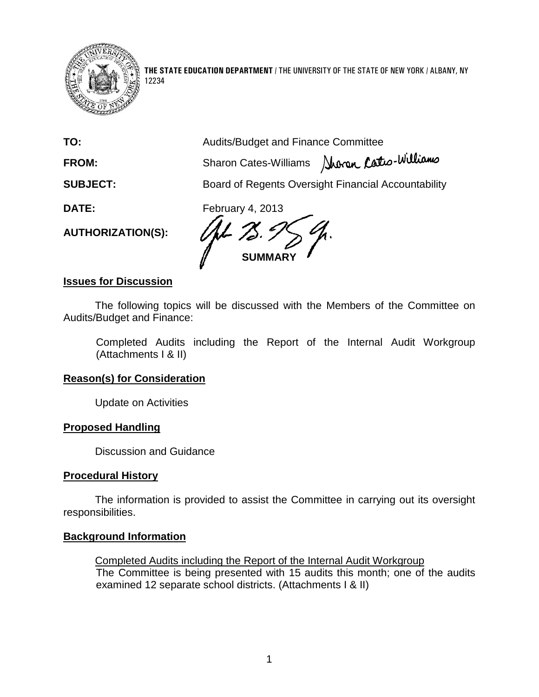

12234

**THE STATE EDUCATION DEPARTMENT** / THE UNIVERSITY OF THE STATE OF NEW YORK / ALBANY, NY

**TO:** Audits/Budget and Finance Committee FROM: Sharon Cates-Williams Aberen Cates-Williams **SUBJECT:** Board of Regents Oversight Financial Accountability **DATE:** February 4, 2013 **AUTHORIZATION(S): SUMMARY**

## **Issues for Discussion**

The following topics will be discussed with the Members of the Committee on Audits/Budget and Finance:

Completed Audits including the Report of the Internal Audit Workgroup (Attachments I & II)

#### **Reason(s) for Consideration**

Update on Activities

#### **Proposed Handling**

Discussion and Guidance

#### **Procedural History**

The information is provided to assist the Committee in carrying out its oversight responsibilities.

#### **Background Information**

Completed Audits including the Report of the Internal Audit Workgroup The Committee is being presented with 15 audits this month; one of the audits examined 12 separate school districts. (Attachments I & II)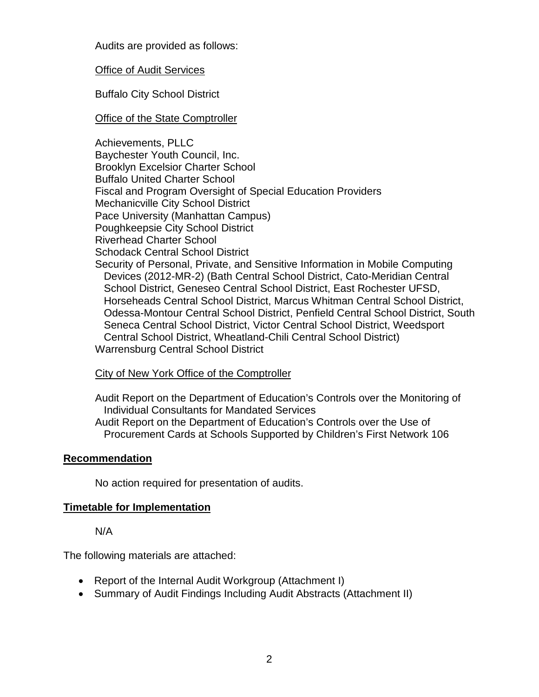Audits are provided as follows:

Office of Audit Services

Buffalo City School District

## Office of the State Comptroller

Achievements, PLLC Baychester Youth Council, Inc. Brooklyn Excelsior Charter School Buffalo United Charter School Fiscal and Program Oversight of Special Education Providers Mechanicville City School District Pace University (Manhattan Campus) Poughkeepsie City School District Riverhead Charter School Schodack Central School District Security of Personal, Private, and Sensitive Information in Mobile Computing Devices (2012-MR-2) (Bath Central School District, Cato-Meridian Central School District, Geneseo Central School District, East Rochester UFSD,

 Horseheads Central School District, Marcus Whitman Central School District, Odessa-Montour Central School District, Penfield Central School District, South Seneca Central School District, Victor Central School District, Weedsport Central School District, Wheatland-Chili Central School District) Warrensburg Central School District

## **City of New York Office of the Comptroller**

Audit Report on the Department of Education's Controls over the Monitoring of Individual Consultants for Mandated Services Audit Report on the Department of Education's Controls over the Use of

Procurement Cards at Schools Supported by Children's First Network 106

## **Recommendation**

No action required for presentation of audits.

## **Timetable for Implementation**

N/A

The following materials are attached:

- Report of the Internal Audit Workgroup (Attachment I)
- Summary of Audit Findings Including Audit Abstracts (Attachment II)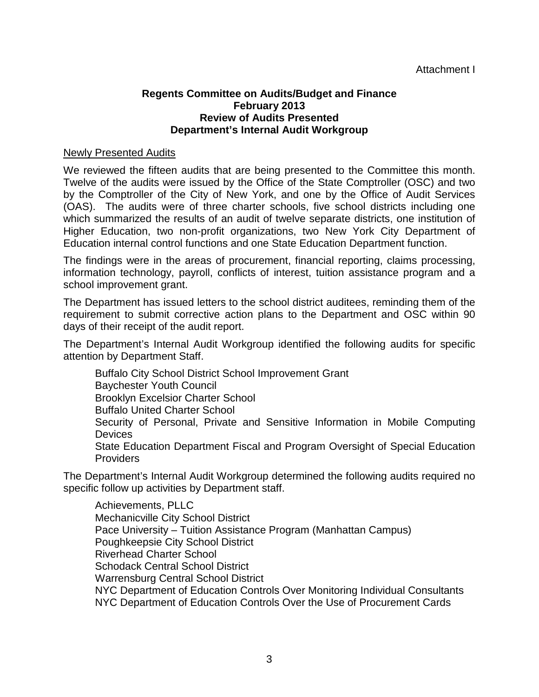## **Regents Committee on Audits/Budget and Finance February 2013 Review of Audits Presented Department's Internal Audit Workgroup**

## Newly Presented Audits

We reviewed the fifteen audits that are being presented to the Committee this month. Twelve of the audits were issued by the Office of the State Comptroller (OSC) and two by the Comptroller of the City of New York, and one by the Office of Audit Services (OAS). The audits were of three charter schools, five school districts including one which summarized the results of an audit of twelve separate districts, one institution of Higher Education, two non-profit organizations, two New York City Department of Education internal control functions and one State Education Department function.

The findings were in the areas of procurement, financial reporting, claims processing, information technology, payroll, conflicts of interest, tuition assistance program and a school improvement grant.

The Department has issued letters to the school district auditees, reminding them of the requirement to submit corrective action plans to the Department and OSC within 90 days of their receipt of the audit report.

The Department's Internal Audit Workgroup identified the following audits for specific attention by Department Staff.

Buffalo City School District School Improvement Grant Baychester Youth Council Brooklyn Excelsior Charter School Buffalo United Charter School Security of Personal, Private and Sensitive Information in Mobile Computing **Devices** State Education Department Fiscal and Program Oversight of Special Education Providers

The Department's Internal Audit Workgroup determined the following audits required no specific follow up activities by Department staff.

Achievements, PLLC Mechanicville City School District Pace University – Tuition Assistance Program (Manhattan Campus) Poughkeepsie City School District Riverhead Charter School Schodack Central School District Warrensburg Central School District NYC Department of Education Controls Over Monitoring Individual Consultants NYC Department of Education Controls Over the Use of Procurement Cards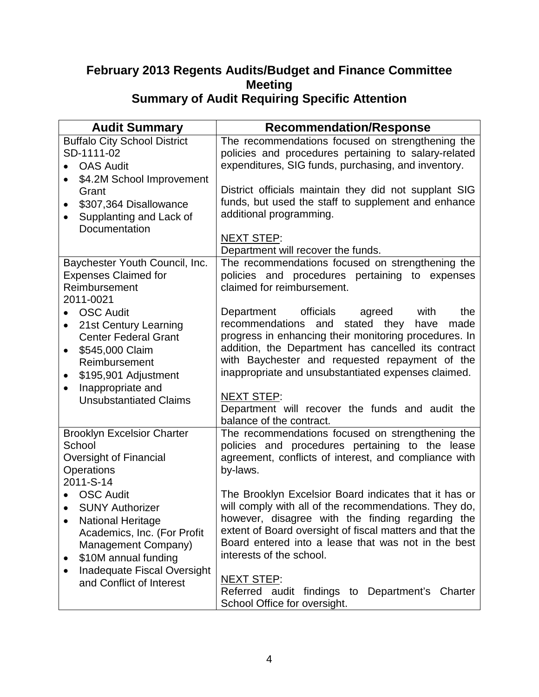## **February 2013 Regents Audits/Budget and Finance Committee Meeting Summary of Audit Requiring Specific Attention**

| <b>Audit Summary</b>                                                                                                                                                                                         | <b>Recommendation/Response</b>                                                                                                                                                                                                                                                                                                                                                                                                      |
|--------------------------------------------------------------------------------------------------------------------------------------------------------------------------------------------------------------|-------------------------------------------------------------------------------------------------------------------------------------------------------------------------------------------------------------------------------------------------------------------------------------------------------------------------------------------------------------------------------------------------------------------------------------|
| <b>Buffalo City School District</b><br>SD-1111-02<br><b>OAS Audit</b><br>\$4.2M School Improvement                                                                                                           | The recommendations focused on strengthening the<br>policies and procedures pertaining to salary-related<br>expenditures, SIG funds, purchasing, and inventory.                                                                                                                                                                                                                                                                     |
| Grant<br>\$307,364 Disallowance<br>$\bullet$<br>Supplanting and Lack of<br>Documentation                                                                                                                     | District officials maintain they did not supplant SIG<br>funds, but used the staff to supplement and enhance<br>additional programming.                                                                                                                                                                                                                                                                                             |
|                                                                                                                                                                                                              | <b>NEXT STEP:</b><br>Department will recover the funds.                                                                                                                                                                                                                                                                                                                                                                             |
| Baychester Youth Council, Inc.<br><b>Expenses Claimed for</b><br>Reimbursement<br>2011-0021                                                                                                                  | The recommendations focused on strengthening the<br>policies and procedures pertaining to expenses<br>claimed for reimbursement.                                                                                                                                                                                                                                                                                                    |
| <b>OSC Audit</b><br>21st Century Learning<br><b>Center Federal Grant</b><br>\$545,000 Claim<br>٠<br>Reimbursement<br>\$195,901 Adjustment<br>$\bullet$<br>Inappropriate and<br><b>Unsubstantiated Claims</b> | officials<br>Department<br>agreed<br>with<br>the<br>recommendations and<br>stated they<br>made<br>have<br>progress in enhancing their monitoring procedures. In<br>addition, the Department has cancelled its contract<br>with Baychester and requested repayment of the<br>inappropriate and unsubstantiated expenses claimed.<br><b>NEXT STEP:</b><br>Department will recover the funds and audit the<br>balance of the contract. |
| <b>Brooklyn Excelsior Charter</b><br>School<br>Oversight of Financial<br>Operations<br>2011-S-14                                                                                                             | The recommendations focused on strengthening the<br>policies and procedures pertaining to the lease<br>agreement, conflicts of interest, and compliance with<br>by-laws.                                                                                                                                                                                                                                                            |
| <b>OSC Audit</b><br>• SUNY Authorizer<br><b>National Heritage</b><br>Academics, Inc. (For Profit<br>Management Company)<br>\$10M annual funding                                                              | The Brooklyn Excelsior Board indicates that it has or<br>will comply with all of the recommendations. They do,<br>however, disagree with the finding regarding the<br>extent of Board oversight of fiscal matters and that the<br>Board entered into a lease that was not in the best<br>interests of the school.                                                                                                                   |
| Inadequate Fiscal Oversight<br>and Conflict of Interest                                                                                                                                                      | NEXT STEP:<br>Referred audit findings to<br>Department's Charter<br>School Office for oversight.                                                                                                                                                                                                                                                                                                                                    |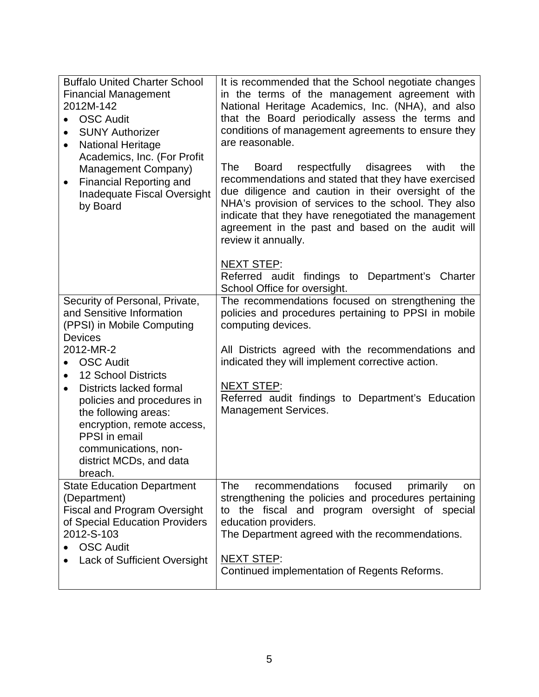| <b>Buffalo United Charter School</b><br><b>Financial Management</b><br>2012M-142<br><b>OSC Audit</b><br>$\bullet$<br><b>SUNY Authorizer</b><br><b>National Heritage</b><br>$\bullet$<br>Academics, Inc. (For Profit<br>Management Company)<br><b>Financial Reporting and</b><br>$\bullet$<br>Inadequate Fiscal Oversight<br>by Board | It is recommended that the School negotiate changes<br>in the terms of the management agreement with<br>National Heritage Academics, Inc. (NHA), and also<br>that the Board periodically assess the terms and<br>conditions of management agreements to ensure they<br>are reasonable.<br>The<br>respectfully disagrees<br><b>Board</b><br>with<br>the<br>recommendations and stated that they have exercised<br>due diligence and caution in their oversight of the<br>NHA's provision of services to the school. They also<br>indicate that they have renegotiated the management<br>agreement in the past and based on the audit will<br>review it annually. |
|--------------------------------------------------------------------------------------------------------------------------------------------------------------------------------------------------------------------------------------------------------------------------------------------------------------------------------------|-----------------------------------------------------------------------------------------------------------------------------------------------------------------------------------------------------------------------------------------------------------------------------------------------------------------------------------------------------------------------------------------------------------------------------------------------------------------------------------------------------------------------------------------------------------------------------------------------------------------------------------------------------------------|
|                                                                                                                                                                                                                                                                                                                                      | <b>NEXT STEP:</b><br>Referred audit findings to Department's Charter<br>School Office for oversight.                                                                                                                                                                                                                                                                                                                                                                                                                                                                                                                                                            |
| Security of Personal, Private,<br>and Sensitive Information<br>(PPSI) in Mobile Computing<br><b>Devices</b>                                                                                                                                                                                                                          | The recommendations focused on strengthening the<br>policies and procedures pertaining to PPSI in mobile<br>computing devices.                                                                                                                                                                                                                                                                                                                                                                                                                                                                                                                                  |
| 2012-MR-2<br><b>OSC Audit</b><br>$\bullet$<br><b>12 School Districts</b><br><b>Districts lacked formal</b><br>$\bullet$<br>policies and procedures in<br>the following areas:<br>encryption, remote access,<br>PPSI in email<br>communications, non-<br>district MCDs, and data<br>breach.                                           | All Districts agreed with the recommendations and<br>indicated they will implement corrective action.<br><b>NEXT STEP:</b><br>Referred audit findings to Department's Education<br><b>Management Services.</b>                                                                                                                                                                                                                                                                                                                                                                                                                                                  |
| <b>State Education Department</b><br>(Department)<br><b>Fiscal and Program Oversight</b><br>of Special Education Providers<br>2012-S-103<br><b>OSC Audit</b><br>Lack of Sufficient Oversight                                                                                                                                         | focused<br>The<br>recommendations<br>primarily<br>on<br>strengthening the policies and procedures pertaining<br>to the fiscal and program oversight of special<br>education providers.<br>The Department agreed with the recommendations.<br><b>NEXT STEP:</b><br>Continued implementation of Regents Reforms.                                                                                                                                                                                                                                                                                                                                                  |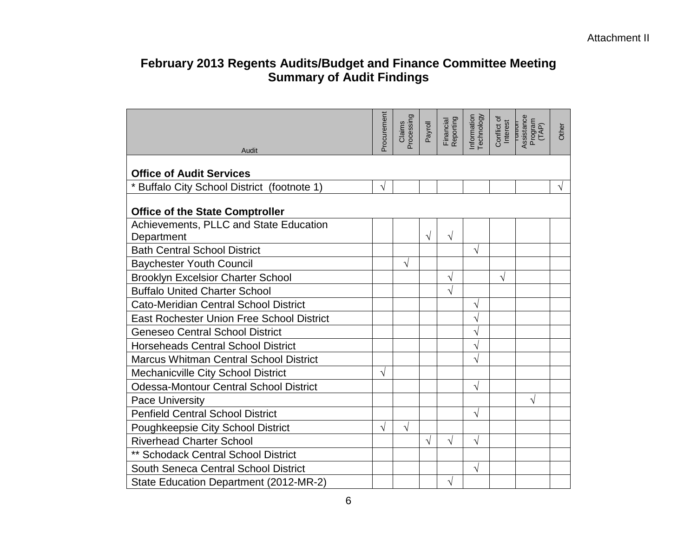# **February 2013 Regents Audits/Budget and Finance Committee Meeting Summary of Audit Findings**

|                                                  | Procurement | Claims<br>Processing | Payroll   | Financial<br>Reporting | Information<br>Technology | Conflict of<br>Interest | Assistance<br>Program<br>(TAP)<br>$T$ unuur | Other |
|--------------------------------------------------|-------------|----------------------|-----------|------------------------|---------------------------|-------------------------|---------------------------------------------|-------|
| Audit                                            |             |                      |           |                        |                           |                         |                                             |       |
| <b>Office of Audit Services</b>                  |             |                      |           |                        |                           |                         |                                             |       |
| * Buffalo City School District (footnote 1)      | √           |                      |           |                        |                           |                         |                                             |       |
| <b>Office of the State Comptroller</b>           |             |                      |           |                        |                           |                         |                                             |       |
| Achievements, PLLC and State Education           |             |                      |           |                        |                           |                         |                                             |       |
| Department                                       |             |                      | $\sqrt{}$ | $\sqrt{}$              |                           |                         |                                             |       |
| <b>Bath Central School District</b>              |             |                      |           |                        | V                         |                         |                                             |       |
| <b>Baychester Youth Council</b>                  |             | V                    |           |                        |                           |                         |                                             |       |
| <b>Brooklyn Excelsior Charter School</b>         |             |                      |           | N                      |                           | V                       |                                             |       |
| <b>Buffalo United Charter School</b>             |             |                      |           | N                      |                           |                         |                                             |       |
| <b>Cato-Meridian Central School District</b>     |             |                      |           |                        | V                         |                         |                                             |       |
| <b>East Rochester Union Free School District</b> |             |                      |           |                        |                           |                         |                                             |       |
| <b>Geneseo Central School District</b>           |             |                      |           |                        | V                         |                         |                                             |       |
| <b>Horseheads Central School District</b>        |             |                      |           |                        | V                         |                         |                                             |       |
| <b>Marcus Whitman Central School District</b>    |             |                      |           |                        | V                         |                         |                                             |       |
| <b>Mechanicville City School District</b>        | $\sqrt{}$   |                      |           |                        |                           |                         |                                             |       |
| <b>Odessa-Montour Central School District</b>    |             |                      |           |                        | V                         |                         |                                             |       |
| <b>Pace University</b>                           |             |                      |           |                        |                           |                         | V                                           |       |
| <b>Penfield Central School District</b>          |             |                      |           |                        | V                         |                         |                                             |       |
| Poughkeepsie City School District                | V           | V                    |           |                        |                           |                         |                                             |       |
| <b>Riverhead Charter School</b>                  |             |                      | V         | V                      | V                         |                         |                                             |       |
| ** Schodack Central School District              |             |                      |           |                        |                           |                         |                                             |       |
| South Seneca Central School District             |             |                      |           |                        | V                         |                         |                                             |       |
| State Education Department (2012-MR-2)           |             |                      |           | V                      |                           |                         |                                             |       |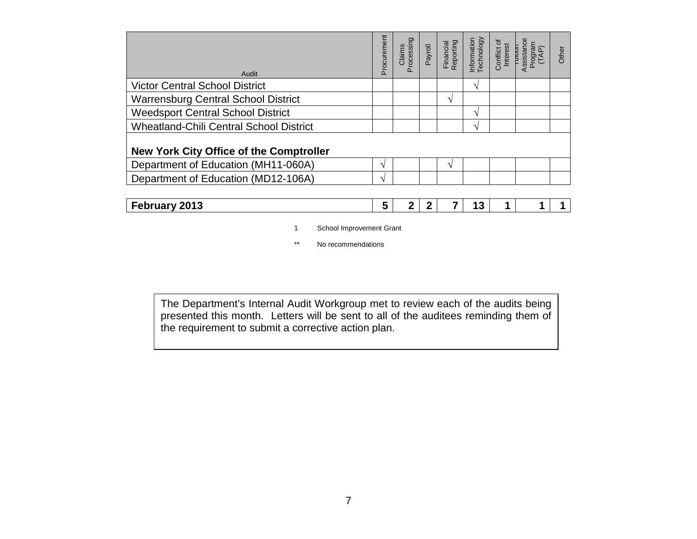| Audit                                          | Procurement  | Processing<br>Claims | Payroll | Financial<br>Reporting | Technology<br>Information | Conflict of<br>Interest | Assistance<br>Program<br>Turrum<br>TAP) | Other |
|------------------------------------------------|--------------|----------------------|---------|------------------------|---------------------------|-------------------------|-----------------------------------------|-------|
| <b>Victor Central School District</b>          |              |                      |         |                        | $\mathbf{v}$              |                         |                                         |       |
| <b>Warrensburg Central School District</b>     |              |                      |         | ٦                      |                           |                         |                                         |       |
| <b>Weedsport Central School District</b>       |              |                      |         |                        | $\mathbf{v}$              |                         |                                         |       |
| <b>Wheatland-Chili Central School District</b> |              |                      |         |                        | ٦                         |                         |                                         |       |
| <b>New York City Office of the Comptroller</b> |              |                      |         |                        |                           |                         |                                         |       |
| Department of Education (MH11-060A)            | $\mathbf{v}$ |                      |         | ٦                      |                           |                         |                                         |       |
| Department of Education (MD12-106A)            | N            |                      |         |                        |                           |                         |                                         |       |
|                                                |              |                      |         |                        |                           |                         |                                         |       |

| 2013<br>February |
|------------------|
|------------------|

- 1 School Improvement Grant
- \*\* No recommendations

The Department's Internal Audit Workgroup met to review each of the audits being presented this month. Letters will be sent to all of the auditees reminding them of the requirement to submit a corrective action plan.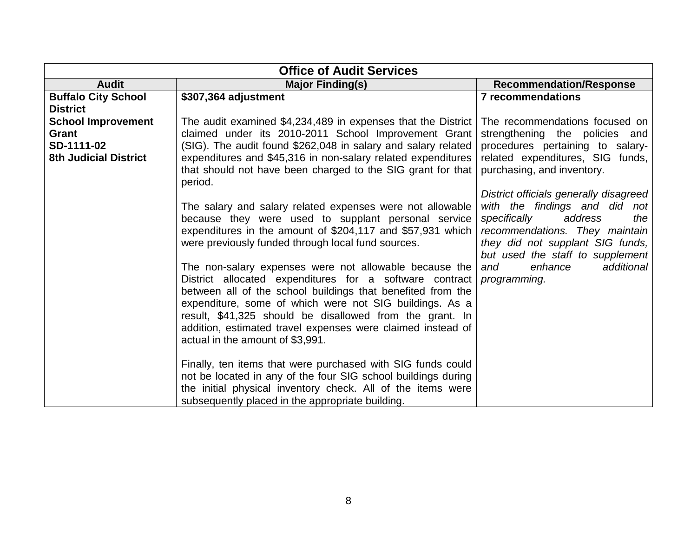|                              | <b>Office of Audit Services</b>                                                                                   |                                             |
|------------------------------|-------------------------------------------------------------------------------------------------------------------|---------------------------------------------|
| <b>Audit</b>                 | <b>Major Finding(s)</b>                                                                                           | <b>Recommendation/Response</b>              |
| <b>Buffalo City School</b>   | \$307,364 adjustment                                                                                              | <b>7 recommendations</b>                    |
| <b>District</b>              |                                                                                                                   |                                             |
| <b>School Improvement</b>    | The audit examined \$4,234,489 in expenses that the District                                                      | The recommendations focused on              |
| Grant                        | claimed under its 2010-2011 School Improvement Grant                                                              | strengthening the policies and              |
| SD-1111-02                   | (SIG). The audit found \$262,048 in salary and salary related                                                     | procedures pertaining to salary-            |
| <b>8th Judicial District</b> | expenditures and \$45,316 in non-salary related expenditures                                                      | related expenditures, SIG funds,            |
|                              | that should not have been charged to the SIG grant for that<br>period.                                            | purchasing, and inventory.                  |
|                              |                                                                                                                   | District officials generally disagreed      |
|                              | The salary and salary related expenses were not allowable                                                         | with the findings and did not               |
|                              | because they were used to supplant personal service                                                               | specifically<br>address<br>the              |
|                              | expenditures in the amount of \$204,117 and \$57,931 which                                                        | recommendations. They maintain              |
|                              | were previously funded through local fund sources.                                                                | they did not supplant SIG funds,            |
|                              |                                                                                                                   | but used the staff to supplement<br>enhance |
|                              | The non-salary expenses were not allowable because the<br>District allocated expenditures for a software contract | additional<br>and<br>programming.           |
|                              | between all of the school buildings that benefited from the                                                       |                                             |
|                              | expenditure, some of which were not SIG buildings. As a                                                           |                                             |
|                              | result, \$41,325 should be disallowed from the grant. In                                                          |                                             |
|                              | addition, estimated travel expenses were claimed instead of                                                       |                                             |
|                              | actual in the amount of \$3,991.                                                                                  |                                             |
|                              |                                                                                                                   |                                             |
|                              | Finally, ten items that were purchased with SIG funds could                                                       |                                             |
|                              | not be located in any of the four SIG school buildings during                                                     |                                             |
|                              | the initial physical inventory check. All of the items were                                                       |                                             |
|                              | subsequently placed in the appropriate building.                                                                  |                                             |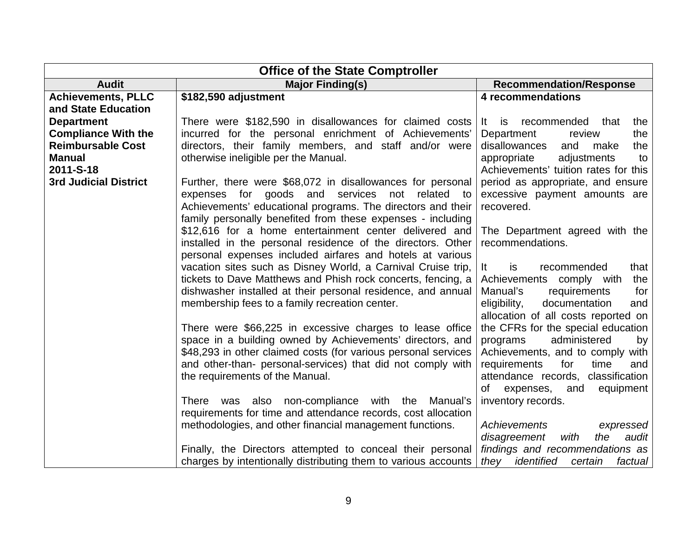| <b>Office of the State Comptroller</b>           |                                                                                                                                                                                                                                                           |                                                                                  |  |  |
|--------------------------------------------------|-----------------------------------------------------------------------------------------------------------------------------------------------------------------------------------------------------------------------------------------------------------|----------------------------------------------------------------------------------|--|--|
| <b>Audit</b>                                     | <b>Major Finding(s)</b>                                                                                                                                                                                                                                   | <b>Recommendation/Response</b>                                                   |  |  |
| <b>Achievements, PLLC</b><br>and State Education | \$182,590 adjustment                                                                                                                                                                                                                                      | 4 recommendations                                                                |  |  |
| <b>Department</b>                                | There were \$182,590 in disallowances for claimed costs                                                                                                                                                                                                   | recommended<br>the<br>that<br>It is                                              |  |  |
| <b>Compliance With the</b>                       | incurred for the personal enrichment of Achievements'                                                                                                                                                                                                     | Department<br>the<br>review                                                      |  |  |
| <b>Reimbursable Cost</b>                         | directors, their family members, and staff and/or were                                                                                                                                                                                                    | disallowances<br>and<br>make<br>the                                              |  |  |
| <b>Manual</b><br>2011-S-18                       | otherwise ineligible per the Manual.                                                                                                                                                                                                                      | adjustments<br>appropriate<br>to<br>Achievements' tuition rates for this         |  |  |
| <b>3rd Judicial District</b>                     | Further, there were \$68,072 in disallowances for personal<br>goods and<br>services<br>related<br>expenses for<br>not<br>to<br>Achievements' educational programs. The directors and their<br>family personally benefited from these expenses - including | period as appropriate, and ensure<br>excessive payment amounts are<br>recovered. |  |  |
|                                                  | \$12,616 for a home entertainment center delivered and<br>installed in the personal residence of the directors. Other<br>personal expenses included airfares and hotels at various                                                                        | The Department agreed with the<br>recommendations.                               |  |  |
|                                                  | vacation sites such as Disney World, a Carnival Cruise trip,                                                                                                                                                                                              | It<br>is<br>recommended<br>that                                                  |  |  |
|                                                  | tickets to Dave Matthews and Phish rock concerts, fencing, a                                                                                                                                                                                              | Achievements comply with<br>the                                                  |  |  |
|                                                  | dishwasher installed at their personal residence, and annual                                                                                                                                                                                              | Manual's<br>requirements<br>for                                                  |  |  |
|                                                  | membership fees to a family recreation center.                                                                                                                                                                                                            | eligibility,<br>documentation<br>and<br>allocation of all costs reported on      |  |  |
|                                                  | There were \$66,225 in excessive charges to lease office                                                                                                                                                                                                  | the CFRs for the special education                                               |  |  |
|                                                  | space in a building owned by Achievements' directors, and                                                                                                                                                                                                 | administered<br>programs<br>by                                                   |  |  |
|                                                  | \$48,293 in other claimed costs (for various personal services                                                                                                                                                                                            | Achievements, and to comply with                                                 |  |  |
|                                                  | and other-than- personal-services) that did not comply with                                                                                                                                                                                               | requirements<br>for<br>time<br>and                                               |  |  |
|                                                  | the requirements of the Manual.                                                                                                                                                                                                                           | attendance records, classification<br>of<br>expenses,<br>and<br>equipment        |  |  |
|                                                  | There was also non-compliance with the Manual's                                                                                                                                                                                                           | inventory records.                                                               |  |  |
|                                                  | requirements for time and attendance records, cost allocation                                                                                                                                                                                             |                                                                                  |  |  |
|                                                  | methodologies, and other financial management functions.                                                                                                                                                                                                  | Achievements<br>expressed                                                        |  |  |
|                                                  |                                                                                                                                                                                                                                                           | disagreement<br>with<br>the<br>audit                                             |  |  |
|                                                  | Finally, the Directors attempted to conceal their personal                                                                                                                                                                                                | findings and recommendations as                                                  |  |  |
|                                                  | charges by intentionally distributing them to various accounts                                                                                                                                                                                            | they identified<br>certain<br>factual                                            |  |  |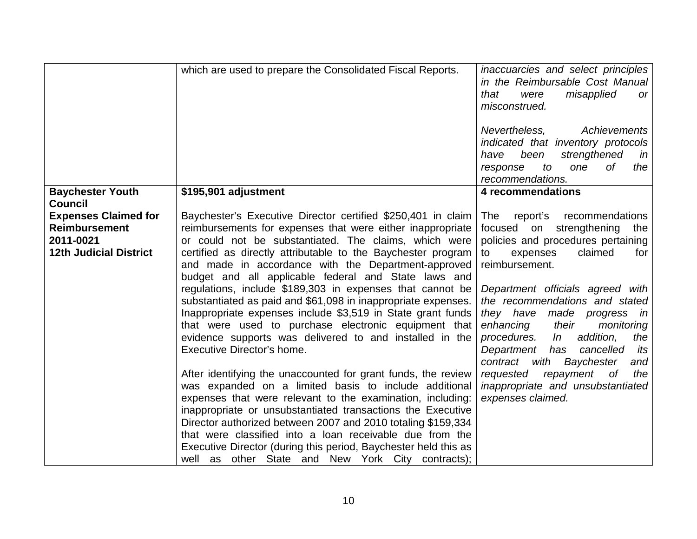|                               | which are used to prepare the Consolidated Fiscal Reports.                                                                   | inaccuarcies and select principles<br>in the Reimbursable Cost Manual<br>that<br>misapplied<br>were<br><b>or</b><br>misconstrued.<br>Achievements<br>Nevertheless,<br>indicated that inventory protocols<br>been<br>strengthened<br>have<br>in |
|-------------------------------|------------------------------------------------------------------------------------------------------------------------------|------------------------------------------------------------------------------------------------------------------------------------------------------------------------------------------------------------------------------------------------|
|                               |                                                                                                                              | to<br>0f<br>the<br>response<br>one                                                                                                                                                                                                             |
|                               |                                                                                                                              | recommendations.                                                                                                                                                                                                                               |
| <b>Baychester Youth</b>       | \$195,901 adjustment                                                                                                         | 4 recommendations                                                                                                                                                                                                                              |
| <b>Council</b>                |                                                                                                                              |                                                                                                                                                                                                                                                |
| <b>Expenses Claimed for</b>   | Baychester's Executive Director certified \$250,401 in claim                                                                 | report's recommendations<br>The                                                                                                                                                                                                                |
| <b>Reimbursement</b>          | reimbursements for expenses that were either inappropriate                                                                   | focused on strengthening<br>the                                                                                                                                                                                                                |
| 2011-0021                     | or could not be substantiated. The claims, which were                                                                        | policies and procedures pertaining                                                                                                                                                                                                             |
| <b>12th Judicial District</b> | certified as directly attributable to the Baychester program                                                                 | claimed<br>to<br>expenses<br>for                                                                                                                                                                                                               |
|                               | and made in accordance with the Department-approved                                                                          | reimbursement.                                                                                                                                                                                                                                 |
|                               | budget and all applicable federal and State laws and                                                                         |                                                                                                                                                                                                                                                |
|                               | regulations, include \$189,303 in expenses that cannot be                                                                    | Department officials agreed with<br>the recommendations and stated                                                                                                                                                                             |
|                               | substantiated as paid and \$61,098 in inappropriate expenses.<br>Inappropriate expenses include \$3,519 in State grant funds |                                                                                                                                                                                                                                                |
|                               | that were used to purchase electronic equipment that                                                                         | they have made progress in<br>enhancing<br>their<br>monitoring                                                                                                                                                                                 |
|                               | evidence supports was delivered to and installed in the                                                                      | procedures.<br>addition,<br>In<br>the                                                                                                                                                                                                          |
|                               | Executive Director's home.                                                                                                   | Department<br>has<br>cancelled<br>its                                                                                                                                                                                                          |
|                               |                                                                                                                              | contract with<br>Baychester<br>and                                                                                                                                                                                                             |
|                               | After identifying the unaccounted for grant funds, the review                                                                | 0f<br>requested<br>repayment<br>the                                                                                                                                                                                                            |
|                               | was expanded on a limited basis to include additional                                                                        | inappropriate and unsubstantiated                                                                                                                                                                                                              |
|                               | expenses that were relevant to the examination, including:                                                                   | expenses claimed.                                                                                                                                                                                                                              |
|                               | inappropriate or unsubstantiated transactions the Executive                                                                  |                                                                                                                                                                                                                                                |
|                               | Director authorized between 2007 and 2010 totaling \$159,334                                                                 |                                                                                                                                                                                                                                                |
|                               | that were classified into a loan receivable due from the                                                                     |                                                                                                                                                                                                                                                |
|                               | Executive Director (during this period, Baychester held this as                                                              |                                                                                                                                                                                                                                                |
|                               | well as other State and New York City contracts);                                                                            |                                                                                                                                                                                                                                                |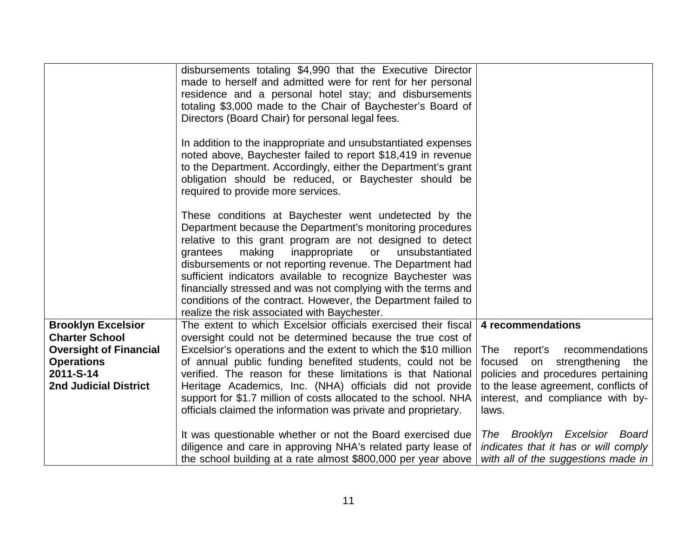|                                                                                                                                                       | disbursements totaling \$4,990 that the Executive Director<br>made to herself and admitted were for rent for her personal<br>residence and a personal hotel stay; and disbursements<br>totaling \$3,000 made to the Chair of Baychester's Board of<br>Directors (Board Chair) for personal legal fees.                                                                                                                                                                                                                                                         |                                                                                                                                                                                                                     |
|-------------------------------------------------------------------------------------------------------------------------------------------------------|----------------------------------------------------------------------------------------------------------------------------------------------------------------------------------------------------------------------------------------------------------------------------------------------------------------------------------------------------------------------------------------------------------------------------------------------------------------------------------------------------------------------------------------------------------------|---------------------------------------------------------------------------------------------------------------------------------------------------------------------------------------------------------------------|
|                                                                                                                                                       | In addition to the inappropriate and unsubstantiated expenses<br>noted above, Baychester failed to report \$18,419 in revenue<br>to the Department. Accordingly, either the Department's grant<br>obligation should be reduced, or Baychester should be<br>required to provide more services.                                                                                                                                                                                                                                                                  |                                                                                                                                                                                                                     |
|                                                                                                                                                       | These conditions at Baychester went undetected by the<br>Department because the Department's monitoring procedures<br>relative to this grant program are not designed to detect<br>making<br>inappropriate<br>grantees<br>or<br>unsubstantiated<br>disbursements or not reporting revenue. The Department had<br>sufficient indicators available to recognize Baychester was<br>financially stressed and was not complying with the terms and<br>conditions of the contract. However, the Department failed to<br>realize the risk associated with Baychester. |                                                                                                                                                                                                                     |
| <b>Brooklyn Excelsior</b><br><b>Charter School</b><br><b>Oversight of Financial</b><br><b>Operations</b><br>2011-S-14<br><b>2nd Judicial District</b> | The extent to which Excelsior officials exercised their fiscal<br>oversight could not be determined because the true cost of<br>Excelsior's operations and the extent to which the \$10 million<br>of annual public funding benefited students, could not be<br>verified. The reason for these limitations is that National<br>Heritage Academics, Inc. (NHA) officials did not provide<br>support for \$1.7 million of costs allocated to the school. NHA<br>officials claimed the information was private and proprietary.                                   | 4 recommendations<br>report's<br>recommendations<br>The<br>focused on strengthening the<br>policies and procedures pertaining<br>to the lease agreement, conflicts of<br>interest, and compliance with by-<br>laws. |
|                                                                                                                                                       | It was questionable whether or not the Board exercised due<br>diligence and care in approving NHA's related party lease of<br>the school building at a rate almost \$800,000 per year above                                                                                                                                                                                                                                                                                                                                                                    | Brooklyn Excelsior Board<br>The<br>indicates that it has or will comply<br>with all of the suggestions made in                                                                                                      |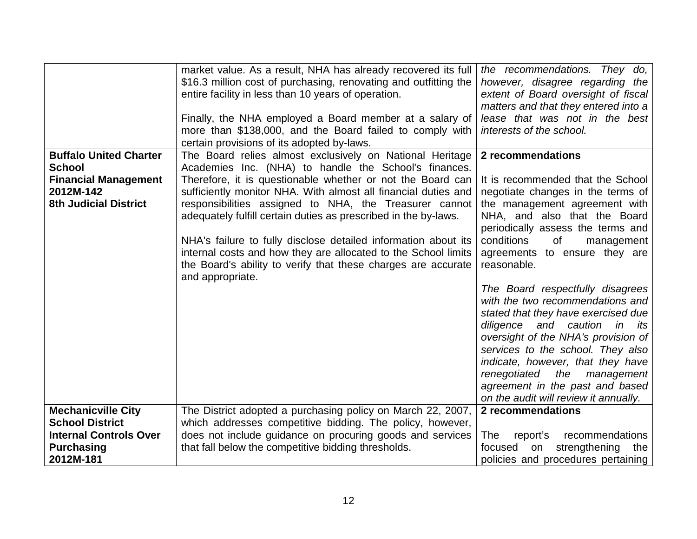|                                                                                                                        | market value. As a result, NHA has already recovered its full<br>\$16.3 million cost of purchasing, renovating and outfitting the<br>entire facility in less than 10 years of operation.<br>Finally, the NHA employed a Board member at a salary of<br>more than \$138,000, and the Board failed to comply with                | the recommendations. They do,<br>however, disagree regarding the<br>extent of Board oversight of fiscal<br>matters and that they entered into a<br>lease that was not in the best<br>interests of the school.                                                                                                                                                                       |
|------------------------------------------------------------------------------------------------------------------------|--------------------------------------------------------------------------------------------------------------------------------------------------------------------------------------------------------------------------------------------------------------------------------------------------------------------------------|-------------------------------------------------------------------------------------------------------------------------------------------------------------------------------------------------------------------------------------------------------------------------------------------------------------------------------------------------------------------------------------|
| <b>Buffalo United Charter</b><br><b>School</b><br><b>Financial Management</b><br>2012M-142                             | certain provisions of its adopted by-laws.<br>The Board relies almost exclusively on National Heritage<br>Academies Inc. (NHA) to handle the School's finances.<br>Therefore, it is questionable whether or not the Board can<br>sufficiently monitor NHA. With almost all financial duties and                                | 2 recommendations<br>It is recommended that the School<br>negotiate changes in the terms of                                                                                                                                                                                                                                                                                         |
| <b>8th Judicial District</b>                                                                                           | responsibilities assigned to NHA, the Treasurer cannot<br>adequately fulfill certain duties as prescribed in the by-laws.<br>NHA's failure to fully disclose detailed information about its<br>internal costs and how they are allocated to the School limits<br>the Board's ability to verify that these charges are accurate | the management agreement with<br>NHA, and also that the Board<br>periodically assess the terms and<br>conditions<br>of<br>management<br>agreements to ensure they are<br>reasonable.                                                                                                                                                                                                |
|                                                                                                                        | and appropriate.                                                                                                                                                                                                                                                                                                               | The Board respectfully disagrees<br>with the two recommendations and<br>stated that they have exercised due<br>diligence<br>and caution in<br>its<br>oversight of the NHA's provision of<br>services to the school. They also<br>indicate, however, that they have<br>renegotiated<br>the<br>management<br>agreement in the past and based<br>on the audit will review it annually. |
| <b>Mechanicville City</b><br><b>School District</b><br><b>Internal Controls Over</b><br><b>Purchasing</b><br>2012M-181 | The District adopted a purchasing policy on March 22, 2007,<br>which addresses competitive bidding. The policy, however,<br>does not include guidance on procuring goods and services<br>that fall below the competitive bidding thresholds.                                                                                   | 2 recommendations<br>The<br>recommendations<br>report's<br>strengthening<br>focused<br>on<br>the<br>policies and procedures pertaining                                                                                                                                                                                                                                              |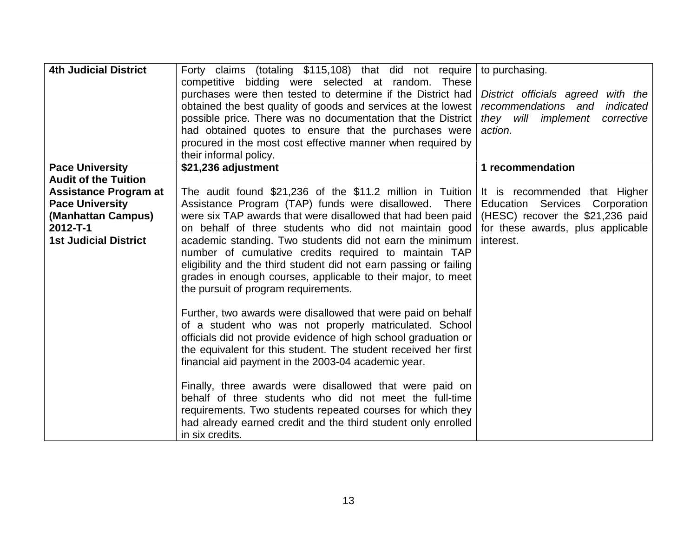| <b>4th Judicial District</b>                                                                                                   | Forty claims (totaling \$115,108) that did not require<br>competitive bidding were selected at random. These<br>purchases were then tested to determine if the District had<br>obtained the best quality of goods and services at the lowest<br>possible price. There was no documentation that the District<br>had obtained quotes to ensure that the purchases were<br>procured in the most cost effective manner when required by<br>their informal policy.                                                                                                                                                                                                                                                                                                                                                                                                                                                                                                                                                                                                                                                                                | to purchasing.<br>District officials agreed with the<br>recommendations and<br>indicated<br>they will implement<br>corrective<br>action.<br>1 recommendation    |
|--------------------------------------------------------------------------------------------------------------------------------|-----------------------------------------------------------------------------------------------------------------------------------------------------------------------------------------------------------------------------------------------------------------------------------------------------------------------------------------------------------------------------------------------------------------------------------------------------------------------------------------------------------------------------------------------------------------------------------------------------------------------------------------------------------------------------------------------------------------------------------------------------------------------------------------------------------------------------------------------------------------------------------------------------------------------------------------------------------------------------------------------------------------------------------------------------------------------------------------------------------------------------------------------|-----------------------------------------------------------------------------------------------------------------------------------------------------------------|
| <b>Pace University</b><br><b>Audit of the Tuition</b>                                                                          | \$21,236 adjustment                                                                                                                                                                                                                                                                                                                                                                                                                                                                                                                                                                                                                                                                                                                                                                                                                                                                                                                                                                                                                                                                                                                           |                                                                                                                                                                 |
| <b>Assistance Program at</b><br><b>Pace University</b><br>(Manhattan Campus)<br>$2012 - T - 1$<br><b>1st Judicial District</b> | The audit found $$21,236$ of the $$11.2$ million in Tuition<br>Assistance Program (TAP) funds were disallowed. There<br>were six TAP awards that were disallowed that had been paid<br>on behalf of three students who did not maintain good<br>academic standing. Two students did not earn the minimum<br>number of cumulative credits required to maintain TAP<br>eligibility and the third student did not earn passing or failing<br>grades in enough courses, applicable to their major, to meet<br>the pursuit of program requirements.<br>Further, two awards were disallowed that were paid on behalf<br>of a student who was not properly matriculated. School<br>officials did not provide evidence of high school graduation or<br>the equivalent for this student. The student received her first<br>financial aid payment in the 2003-04 academic year.<br>Finally, three awards were disallowed that were paid on<br>behalf of three students who did not meet the full-time<br>requirements. Two students repeated courses for which they<br>had already earned credit and the third student only enrolled<br>in six credits. | It is recommended that Higher<br><b>Education Services</b><br>Corporation<br>(HESC) recover the \$21,236 paid<br>for these awards, plus applicable<br>interest. |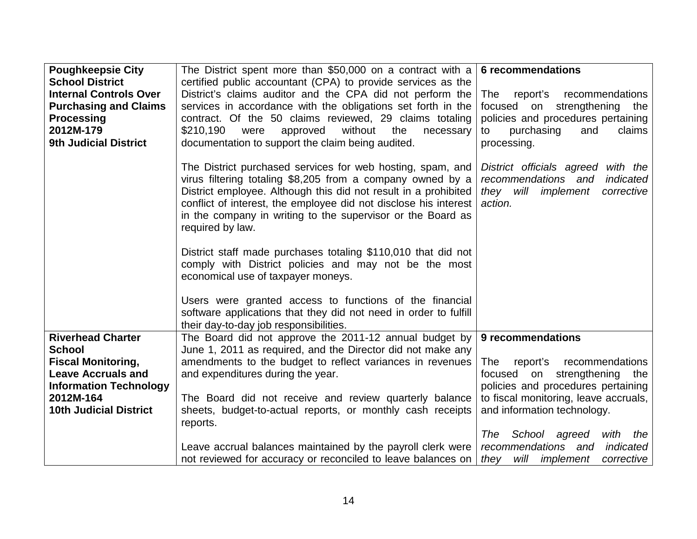| <b>Poughkeepsie City</b>                   | The District spent more than \$50,000 on a contract with a                                                                                                                                                                                                                                                                                         | 6 recommendations                                                                                                            |
|--------------------------------------------|----------------------------------------------------------------------------------------------------------------------------------------------------------------------------------------------------------------------------------------------------------------------------------------------------------------------------------------------------|------------------------------------------------------------------------------------------------------------------------------|
| <b>School District</b>                     | certified public accountant (CPA) to provide services as the                                                                                                                                                                                                                                                                                       |                                                                                                                              |
| <b>Internal Controls Over</b>              | District's claims auditor and the CPA did not perform the                                                                                                                                                                                                                                                                                          | The<br>report's<br>recommendations                                                                                           |
| <b>Purchasing and Claims</b>               | services in accordance with the obligations set forth in the                                                                                                                                                                                                                                                                                       | focused on strengthening<br>the<br>policies and procedures pertaining                                                        |
| <b>Processing</b><br>2012M-179             | contract. Of the 50 claims reviewed, 29 claims totaling<br>\$210,190<br>without<br>the<br>approved<br>were<br>necessary                                                                                                                                                                                                                            | purchasing<br>claims<br>and<br>to                                                                                            |
| <b>9th Judicial District</b>               | documentation to support the claim being audited.                                                                                                                                                                                                                                                                                                  | processing.                                                                                                                  |
|                                            |                                                                                                                                                                                                                                                                                                                                                    |                                                                                                                              |
|                                            | The District purchased services for web hosting, spam, and<br>virus filtering totaling \$8,205 from a company owned by a<br>District employee. Although this did not result in a prohibited<br>conflict of interest, the employee did not disclose his interest<br>in the company in writing to the supervisor or the Board as<br>required by law. | District officials agreed with the<br>recommendations and<br>indicated<br>will<br>implement<br>corrective<br>they<br>action. |
|                                            | District staff made purchases totaling \$110,010 that did not<br>comply with District policies and may not be the most<br>economical use of taxpayer moneys.                                                                                                                                                                                       |                                                                                                                              |
|                                            | Users were granted access to functions of the financial<br>software applications that they did not need in order to fulfill<br>their day-to-day job responsibilities.                                                                                                                                                                              |                                                                                                                              |
| <b>Riverhead Charter</b>                   | The Board did not approve the 2011-12 annual budget by                                                                                                                                                                                                                                                                                             | 9 recommendations                                                                                                            |
| <b>School</b>                              | June 1, 2011 as required, and the Director did not make any                                                                                                                                                                                                                                                                                        |                                                                                                                              |
| <b>Fiscal Monitoring,</b>                  | amendments to the budget to reflect variances in revenues                                                                                                                                                                                                                                                                                          | report's<br>recommendations<br>The                                                                                           |
| <b>Leave Accruals and</b>                  | and expenditures during the year.                                                                                                                                                                                                                                                                                                                  | focused on strengthening the                                                                                                 |
| <b>Information Technology</b><br>2012M-164 | The Board did not receive and review quarterly balance                                                                                                                                                                                                                                                                                             | policies and procedures pertaining<br>to fiscal monitoring, leave accruals,                                                  |
| <b>10th Judicial District</b>              | sheets, budget-to-actual reports, or monthly cash receipts<br>reports.                                                                                                                                                                                                                                                                             | and information technology.                                                                                                  |
|                                            |                                                                                                                                                                                                                                                                                                                                                    | School agreed<br>The<br>with<br>the                                                                                          |
|                                            | Leave accrual balances maintained by the payroll clerk were                                                                                                                                                                                                                                                                                        | recommendations and<br>indicated                                                                                             |
|                                            | not reviewed for accuracy or reconciled to leave balances on                                                                                                                                                                                                                                                                                       | will implement<br>corrective<br>they                                                                                         |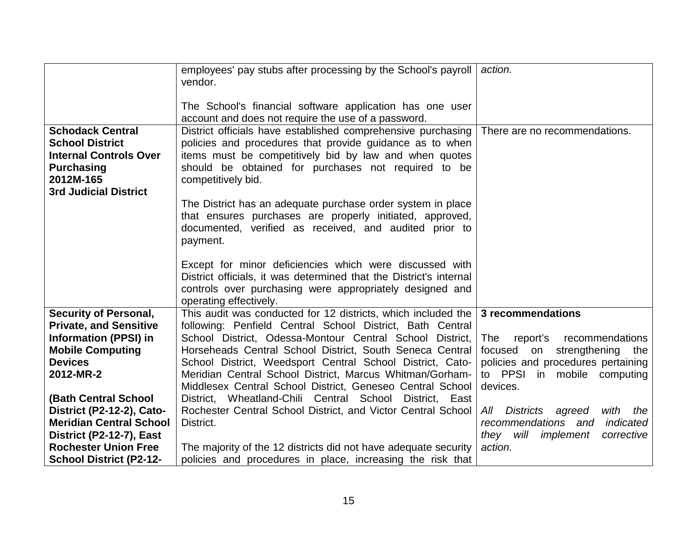|                                                                                                                                                      | employees' pay stubs after processing by the School's payroll<br>vendor.                                                                                                                                                                                        | action.                               |
|------------------------------------------------------------------------------------------------------------------------------------------------------|-----------------------------------------------------------------------------------------------------------------------------------------------------------------------------------------------------------------------------------------------------------------|---------------------------------------|
|                                                                                                                                                      | The School's financial software application has one user<br>account and does not require the use of a password.                                                                                                                                                 |                                       |
| <b>Schodack Central</b><br><b>School District</b><br><b>Internal Controls Over</b><br><b>Purchasing</b><br>2012M-165<br><b>3rd Judicial District</b> | District officials have established comprehensive purchasing<br>policies and procedures that provide guidance as to when<br>items must be competitively bid by law and when quotes<br>should be obtained for purchases not required to be<br>competitively bid. | There are no recommendations.         |
|                                                                                                                                                      | The District has an adequate purchase order system in place<br>that ensures purchases are properly initiated, approved,<br>documented, verified as received, and audited prior to<br>payment.                                                                   |                                       |
|                                                                                                                                                      | Except for minor deficiencies which were discussed with<br>District officials, it was determined that the District's internal<br>controls over purchasing were appropriately designed and<br>operating effectively.                                             |                                       |
| <b>Security of Personal,</b>                                                                                                                         | This audit was conducted for 12 districts, which included the $\vert$ 3 recommendations                                                                                                                                                                         |                                       |
| <b>Private, and Sensitive</b>                                                                                                                        | following: Penfield Central School District, Bath Central                                                                                                                                                                                                       |                                       |
| <b>Information (PPSI) in</b>                                                                                                                         | School District, Odessa-Montour Central School District,                                                                                                                                                                                                        | The<br>report's<br>recommendations    |
| <b>Mobile Computing</b>                                                                                                                              | Horseheads Central School District, South Seneca Central                                                                                                                                                                                                        | focused<br>on<br>strengthening<br>the |
| <b>Devices</b>                                                                                                                                       | School District, Weedsport Central School District, Cato-                                                                                                                                                                                                       | policies and procedures pertaining    |
| 2012-MR-2                                                                                                                                            | Meridian Central School District, Marcus Whitman/Gorham-                                                                                                                                                                                                        | to PPSI in mobile computing           |
|                                                                                                                                                      | Middlesex Central School District, Geneseo Central School                                                                                                                                                                                                       | devices.                              |
| <b>(Bath Central School</b>                                                                                                                          | District, Wheatland-Chili Central School District, East                                                                                                                                                                                                         |                                       |
| <b>District (P2-12-2), Cato-</b>                                                                                                                     | Rochester Central School District, and Victor Central School                                                                                                                                                                                                    | All Districts agreed<br>with<br>the   |
| <b>Meridian Central School</b>                                                                                                                       | District.                                                                                                                                                                                                                                                       | recommendations and<br>indicated      |
| District (P2-12-7), East                                                                                                                             |                                                                                                                                                                                                                                                                 | they will<br>implement<br>corrective  |
| <b>Rochester Union Free</b>                                                                                                                          | The majority of the 12 districts did not have adequate security                                                                                                                                                                                                 | action.                               |
| <b>School District (P2-12-</b>                                                                                                                       | policies and procedures in place, increasing the risk that                                                                                                                                                                                                      |                                       |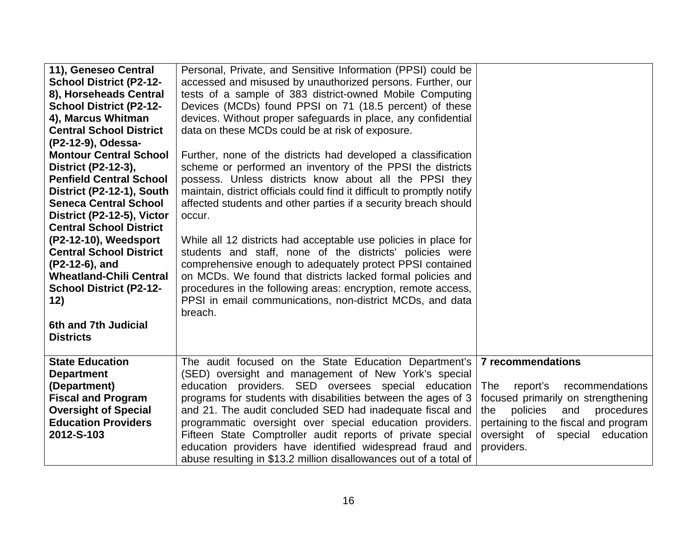| 11), Geneseo Central<br><b>School District (P2-12-</b><br>8), Horseheads Central<br><b>School District (P2-12-</b><br>4), Marcus Whitman<br><b>Central School District</b><br>(P2-12-9), Odessa-<br><b>Montour Central School</b><br>District (P2-12-3),<br><b>Penfield Central School</b><br>District (P2-12-1), South<br><b>Seneca Central School</b><br>District (P2-12-5), Victor<br><b>Central School District</b><br>(P2-12-10), Weedsport<br><b>Central School District</b><br>(P2-12-6), and<br><b>Wheatland-Chili Central</b><br><b>School District (P2-12-</b><br>12)<br>6th and 7th Judicial<br><b>Districts</b> | Personal, Private, and Sensitive Information (PPSI) could be<br>accessed and misused by unauthorized persons. Further, our<br>tests of a sample of 383 district-owned Mobile Computing<br>Devices (MCDs) found PPSI on 71 (18.5 percent) of these<br>devices. Without proper safeguards in place, any confidential<br>data on these MCDs could be at risk of exposure.<br>Further, none of the districts had developed a classification<br>scheme or performed an inventory of the PPSI the districts<br>possess. Unless districts know about all the PPSI they<br>maintain, district officials could find it difficult to promptly notify<br>affected students and other parties if a security breach should<br>occur.<br>While all 12 districts had acceptable use policies in place for<br>students and staff, none of the districts' policies were<br>comprehensive enough to adequately protect PPSI contained<br>on MCDs. We found that districts lacked formal policies and<br>procedures in the following areas: encryption, remote access,<br>PPSI in email communications, non-district MCDs, and data<br>breach. |                                                                                                                                                                                                                               |
|-----------------------------------------------------------------------------------------------------------------------------------------------------------------------------------------------------------------------------------------------------------------------------------------------------------------------------------------------------------------------------------------------------------------------------------------------------------------------------------------------------------------------------------------------------------------------------------------------------------------------------|-----------------------------------------------------------------------------------------------------------------------------------------------------------------------------------------------------------------------------------------------------------------------------------------------------------------------------------------------------------------------------------------------------------------------------------------------------------------------------------------------------------------------------------------------------------------------------------------------------------------------------------------------------------------------------------------------------------------------------------------------------------------------------------------------------------------------------------------------------------------------------------------------------------------------------------------------------------------------------------------------------------------------------------------------------------------------------------------------------------------------------|-------------------------------------------------------------------------------------------------------------------------------------------------------------------------------------------------------------------------------|
| <b>State Education</b><br><b>Department</b><br>(Department)<br><b>Fiscal and Program</b><br><b>Oversight of Special</b><br><b>Education Providers</b><br>2012-S-103                                                                                                                                                                                                                                                                                                                                                                                                                                                         | The audit focused on the State Education Department's<br>(SED) oversight and management of New York's special<br>education providers. SED oversees special education<br>programs for students with disabilities between the ages of 3<br>and 21. The audit concluded SED had inadequate fiscal and<br>programmatic oversight over special education providers.<br>Fifteen State Comptroller audit reports of private special<br>education providers have identified widespread fraud and<br>abuse resulting in \$13.2 million disallowances out of a total of                                                                                                                                                                                                                                                                                                                                                                                                                                                                                                                                                               | 7 recommendations<br>recommendations<br>The<br>report's<br>focused primarily on strengthening<br>policies<br>the<br>and<br>procedures<br>pertaining to the fiscal and program<br>oversight of special education<br>providers. |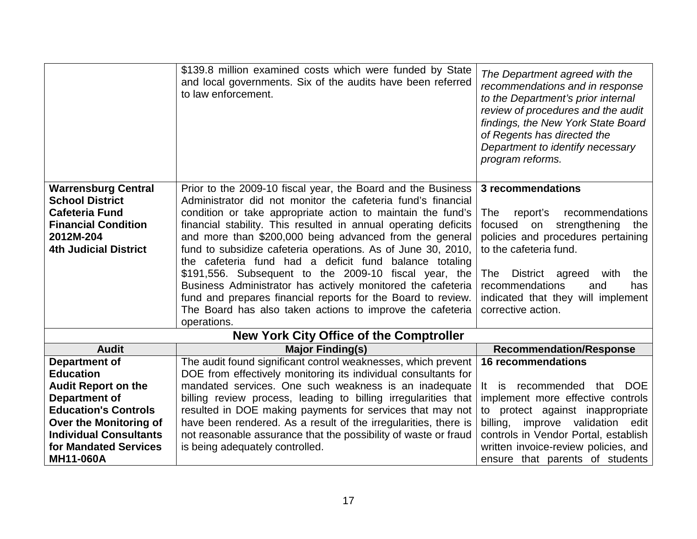|                                                                                                                            | \$139.8 million examined costs which were funded by State<br>and local governments. Six of the audits have been referred<br>to law enforcement.                                                                                                                                                                                                                                                                                                                                                                                                                                                                                                         | The Department agreed with the<br>recommendations and in response<br>to the Department's prior internal<br>review of procedures and the audit<br>findings, the New York State Board<br>of Regents has directed the<br>Department to identify necessary<br>program reforms.        |
|----------------------------------------------------------------------------------------------------------------------------|---------------------------------------------------------------------------------------------------------------------------------------------------------------------------------------------------------------------------------------------------------------------------------------------------------------------------------------------------------------------------------------------------------------------------------------------------------------------------------------------------------------------------------------------------------------------------------------------------------------------------------------------------------|-----------------------------------------------------------------------------------------------------------------------------------------------------------------------------------------------------------------------------------------------------------------------------------|
| <b>Warrensburg Central</b>                                                                                                 | Prior to the 2009-10 fiscal year, the Board and the Business                                                                                                                                                                                                                                                                                                                                                                                                                                                                                                                                                                                            | 3 recommendations                                                                                                                                                                                                                                                                 |
| <b>School District</b><br><b>Cafeteria Fund</b><br><b>Financial Condition</b><br>2012M-204<br><b>4th Judicial District</b> | Administrator did not monitor the cafeteria fund's financial<br>condition or take appropriate action to maintain the fund's<br>financial stability. This resulted in annual operating deficits<br>and more than \$200,000 being advanced from the general<br>fund to subsidize cafeteria operations. As of June 30, 2010,<br>the cafeteria fund had a deficit fund balance totaling<br>\$191,556. Subsequent to the 2009-10 fiscal year, the<br>Business Administrator has actively monitored the cafeteria<br>fund and prepares financial reports for the Board to review.<br>The Board has also taken actions to improve the cafeteria<br>operations. | report's<br>recommendations<br>The<br>strengthening<br>focused<br>on<br>the<br>policies and procedures pertaining<br>to the cafeteria fund.<br>District agreed<br>The<br>with<br>the<br>recommendations<br>and<br>has<br>indicated that they will implement<br>corrective action. |
|                                                                                                                            | <b>New York City Office of the Comptroller</b>                                                                                                                                                                                                                                                                                                                                                                                                                                                                                                                                                                                                          |                                                                                                                                                                                                                                                                                   |
| <b>Audit</b>                                                                                                               | <b>Major Finding(s)</b>                                                                                                                                                                                                                                                                                                                                                                                                                                                                                                                                                                                                                                 | <b>Recommendation/Response</b>                                                                                                                                                                                                                                                    |
| <b>Department of</b>                                                                                                       | The audit found significant control weaknesses, which prevent                                                                                                                                                                                                                                                                                                                                                                                                                                                                                                                                                                                           | <b>16 recommendations</b>                                                                                                                                                                                                                                                         |
| <b>Education</b>                                                                                                           | DOE from effectively monitoring its individual consultants for                                                                                                                                                                                                                                                                                                                                                                                                                                                                                                                                                                                          |                                                                                                                                                                                                                                                                                   |
| <b>Audit Report on the</b>                                                                                                 | mandated services. One such weakness is an inadequate                                                                                                                                                                                                                                                                                                                                                                                                                                                                                                                                                                                                   | recommended that DOE<br>is<br>It a                                                                                                                                                                                                                                                |
| Department of<br><b>Education's Controls</b>                                                                               | billing review process, leading to billing irregularities that<br>resulted in DOE making payments for services that may not                                                                                                                                                                                                                                                                                                                                                                                                                                                                                                                             | implement more effective controls<br>to protect against inappropriate                                                                                                                                                                                                             |
| Over the Monitoring of                                                                                                     | have been rendered. As a result of the irregularities, there is                                                                                                                                                                                                                                                                                                                                                                                                                                                                                                                                                                                         | billing, improve validation edit                                                                                                                                                                                                                                                  |
| <b>Individual Consultants</b>                                                                                              | not reasonable assurance that the possibility of waste or fraud                                                                                                                                                                                                                                                                                                                                                                                                                                                                                                                                                                                         | controls in Vendor Portal, establish                                                                                                                                                                                                                                              |
| for Mandated Services                                                                                                      | is being adequately controlled.                                                                                                                                                                                                                                                                                                                                                                                                                                                                                                                                                                                                                         | written invoice-review policies, and                                                                                                                                                                                                                                              |
| <b>MH11-060A</b>                                                                                                           |                                                                                                                                                                                                                                                                                                                                                                                                                                                                                                                                                                                                                                                         | ensure that parents of students                                                                                                                                                                                                                                                   |